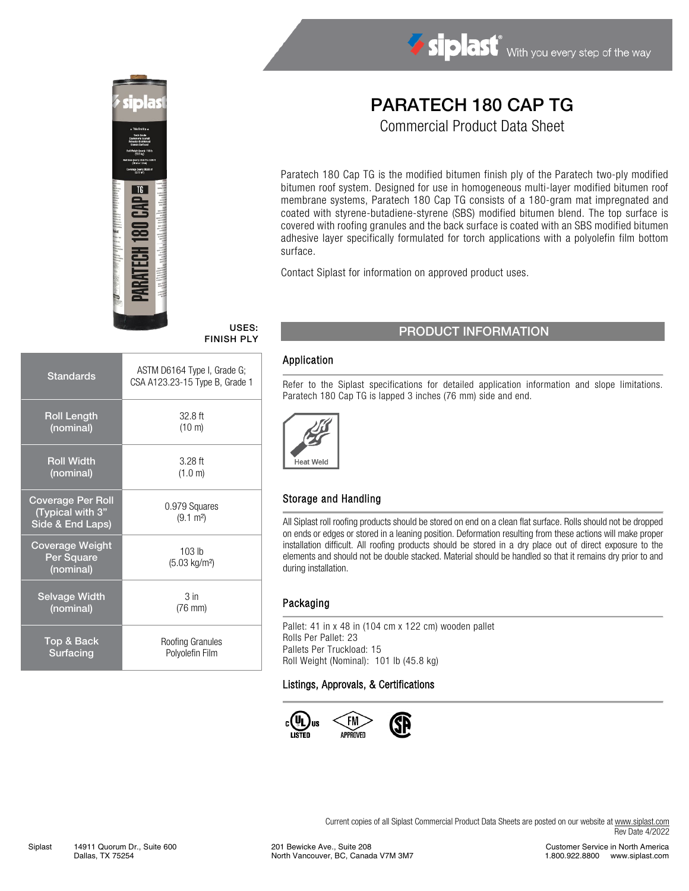

# Siplast With you every step of the way

# PARATECH 180 CAP TG

Commercial Product Data Sheet

Paratech 180 Cap TG is the modified bitumen finish ply of the Paratech two-ply modified bitumen roof system. Designed for use in homogeneous multi-layer modified bitumen roof membrane systems, Paratech 180 Cap TG consists of a 180-gram mat impregnated and coated with styrene-butadiene-styrene (SBS) modified bitumen blend. The top surface is covered with roofing granules and the back surface is coated with an SBS modified bitumen adhesive layer specifically formulated for torch applications with a polyolefin film bottom surface.

Contact Siplast for information on approved product uses.

FINISH PLY

| <b>Standards</b>                                                 | ASTM D6164 Type I, Grade G;<br>CSA A123.23-15 Type B, Grade 1 |
|------------------------------------------------------------------|---------------------------------------------------------------|
| <b>Roll Length</b>                                               | $32.8$ ft                                                     |
| (nominal)                                                        | $(10 \text{ m})$                                              |
| <b>Roll Width</b>                                                | $3.28$ ft                                                     |
| (nominal)                                                        | (1.0 m)                                                       |
| <b>Coverage Per Roll</b><br>(Typical with 3"<br>Side & End Laps) | 0.979 Squares<br>$(9.1 \text{ m}^2)$                          |
| <b>Coverage Weight</b><br>Per Square<br>(nominal)                | $103$ lb<br>$(5.03 \text{ kg/m}^2)$                           |
| <b>Selvage Width</b>                                             | 3 <sub>in</sub>                                               |
| (nominal)                                                        | $(76$ mm $)$                                                  |
| Top & Back                                                       | Roofing Granules                                              |
| Surfacing                                                        | Polyolefin Film                                               |

## USES: PRODUCT INFORMATION

#### Application

Refer to the Siplast specifications for detailed application information and slope limitations. Paratech 180 Cap TG is lapped 3 inches (76 mm) side and end.



#### Storage and Handling

All Siplast roll roofing products should be stored on end on a clean flat surface. Rolls should not be dropped on ends or edges or stored in a leaning position. Deformation resulting from these actions will make proper installation difficult. All roofing products should be stored in a dry place out of direct exposure to the elements and should not be double stacked. Material should be handled so that it remains dry prior to and during installation.

#### Packaging

Pallet: 41 in x 48 in (104 cm x 122 cm) wooden pallet Rolls Per Pallet: 23 Pallets Per Truckload: 15 Roll Weight (Nominal): 101 lb (45.8 kg)

#### Listings, Approvals, & Certifications



Current copies of all Siplast Commercial Product Data Sheets are posted on our website at [www.siplast.com](http://www.siplast.com/) Rev Date 4/2022